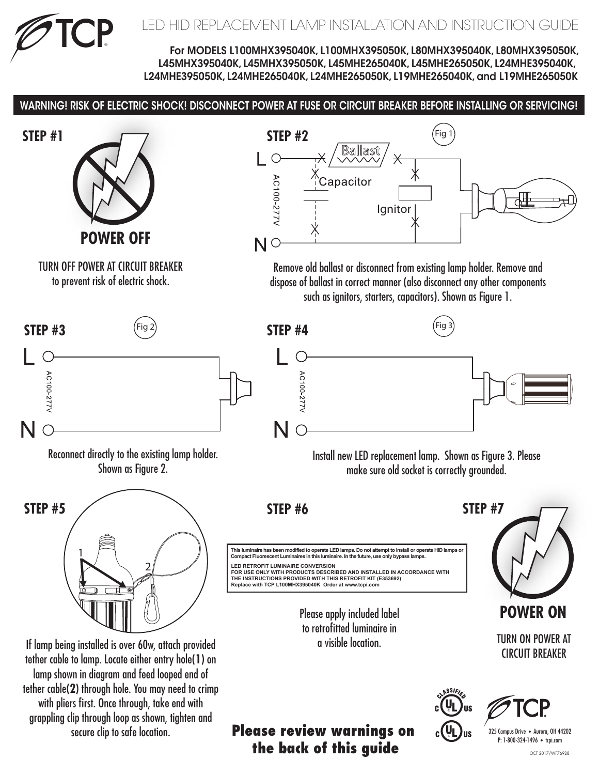

For MODELS L100MHX395040K, L100MHX395050K, L80MHX395040K, L80MHX395050K, L45MHX395040K, L45MHX395050K, L45MHE265040K, L45MHE265050K, L24MHE395040K, L24MHE395050K, L24MHE265040K, L24MHE265050K, L19MHE265040K, and L19MHE265050K

## WARNING! RISK OF ELECTRIC SHOCK! DISCONNECT POWER AT FUSE OR CIRCUIT BREAKER BEFORE INSTALLING OR SERVICING!